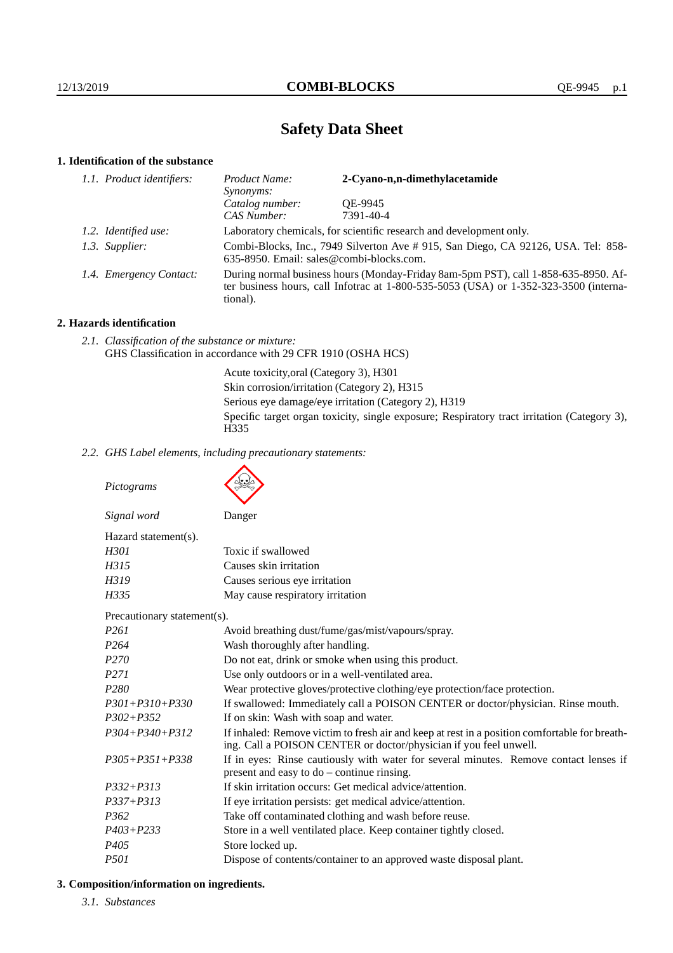# **Safety Data Sheet**

# **1. Identification of the substance**

| 1.1. Product identifiers: | Product Name:<br>Synonyms:                                                                                                                                                              | 2-Cyano-n,n-dimethylacetamide |
|---------------------------|-----------------------------------------------------------------------------------------------------------------------------------------------------------------------------------------|-------------------------------|
|                           | Catalog number:                                                                                                                                                                         | OE-9945                       |
|                           | CAS Number:                                                                                                                                                                             | 7391-40-4                     |
| 1.2. Identified use:      | Laboratory chemicals, for scientific research and development only.                                                                                                                     |                               |
| 1.3. Supplier:            | Combi-Blocks, Inc., 7949 Silverton Ave # 915, San Diego, CA 92126, USA. Tel: 858-<br>635-8950. Email: sales@combi-blocks.com.                                                           |                               |
| 1.4. Emergency Contact:   | During normal business hours (Monday-Friday 8am-5pm PST), call 1-858-635-8950. Af-<br>ter business hours, call Infotrac at 1-800-535-5053 (USA) or 1-352-323-3500 (interna-<br>tional). |                               |

## **2. Hazards identification**

*2.1. Classification of the substance or mixture:* GHS Classification in accordance with 29 CFR 1910 (OSHA HCS)

> Acute toxicity,oral (Category 3), H301 Skin corrosion/irritation (Category 2), H315 Serious eye damage/eye irritation (Category 2), H319 Specific target organ toxicity, single exposure; Respiratory tract irritation (Category 3), H335

*2.2. GHS Label elements, including precautionary statements:*

*Pictograms Signal word* Danger Hazard statement(s). *H301* Toxic if swallowed *H315* Causes skin irritation *H319* Causes serious eye irritation *H335* May cause respiratory irritation Precautionary statement(s). *P261* Avoid breathing dust/fume/gas/mist/vapours/spray. *P264* Wash thoroughly after handling. *P270* Do not eat, drink or smoke when using this product. *P271* Use only outdoors or in a well-ventilated area. *P280* Wear protective gloves/protective clothing/eye protection/face protection. *P301+P310+P330* If swallowed: Immediately call a POISON CENTER or doctor/physician. Rinse mouth. *P302+P352* If on skin: Wash with soap and water. *P304+P340+P312* If inhaled: Remove victim to fresh air and keep at rest in a position comfortable for breathing. Call a POISON CENTER or doctor/physician if you feel unwell. *P305+P351+P338* If in eyes: Rinse cautiously with water for several minutes. Remove contact lenses if present and easy to do – continue rinsing. *P332+P313* If skin irritation occurs: Get medical advice/attention. *P337+P313* If eye irritation persists: get medical advice/attention. *P362* Take off contaminated clothing and wash before reuse. *P403+P233* Store in a well ventilated place. Keep container tightly closed. *P405* Store locked up. *P501* Dispose of contents/container to an approved waste disposal plant.

# **3. Composition/information on ingredients.**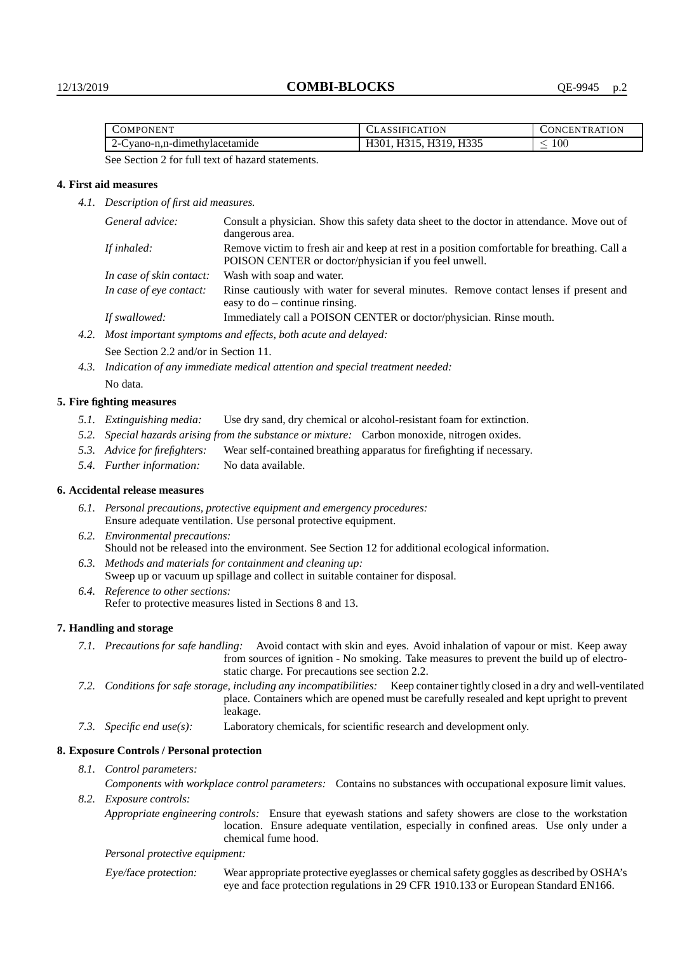| <b>COMPONENT</b>                   | CLASSIFICATION            | <b>CONCENTRATION</b> |
|------------------------------------|---------------------------|----------------------|
| 2-Cyano-n,n-dimethylacetamide      | H315, H319, H335<br>T301. | 100                  |
| ___<br>$\sim$ $\sim$ $\sim$ $\sim$ |                           |                      |

See Section 2 for full text of hazard statements.

#### **4. First aid measures**

*4.1. Description of first aid measures.*

| General advice:          | Consult a physician. Show this safety data sheet to the doctor in attendance. Move out of<br>dangerous area.                                         |
|--------------------------|------------------------------------------------------------------------------------------------------------------------------------------------------|
| If inhaled:              | Remove victim to fresh air and keep at rest in a position comfortable for breathing. Call a<br>POISON CENTER or doctor/physician if you feel unwell. |
| In case of skin contact: | Wash with soap and water.                                                                                                                            |
| In case of eye contact:  | Rinse cautiously with water for several minutes. Remove contact lenses if present and<br>easy to $do$ – continue rinsing.                            |
| If swallowed:            | Immediately call a POISON CENTER or doctor/physician. Rinse mouth.                                                                                   |
|                          | Most important gymntoms and effects hoth goute and delayed.                                                                                          |

- *4.2. Most important symptoms and effects, both acute and delayed:* See Section 2.2 and/or in Section 11.
- *4.3. Indication of any immediate medical attention and special treatment needed:* No data.

# **5. Fire fighting measures**

- *5.1. Extinguishing media:* Use dry sand, dry chemical or alcohol-resistant foam for extinction.
- *5.2. Special hazards arising from the substance or mixture:* Carbon monoxide, nitrogen oxides.
- *5.3. Advice for firefighters:* Wear self-contained breathing apparatus for firefighting if necessary.
- *5.4. Further information:* No data available.

# **6. Accidental release measures**

- *6.1. Personal precautions, protective equipment and emergency procedures:* Ensure adequate ventilation. Use personal protective equipment.
- *6.2. Environmental precautions:* Should not be released into the environment. See Section 12 for additional ecological information.
- *6.3. Methods and materials for containment and cleaning up:* Sweep up or vacuum up spillage and collect in suitable container for disposal.
- *6.4. Reference to other sections:* Refer to protective measures listed in Sections 8 and 13.

#### **7. Handling and storage**

- *7.1. Precautions for safe handling:* Avoid contact with skin and eyes. Avoid inhalation of vapour or mist. Keep away from sources of ignition - No smoking. Take measures to prevent the build up of electrostatic charge. For precautions see section 2.2.
- *7.2. Conditions for safe storage, including any incompatibilities:* Keep container tightly closed in a dry and well-ventilated place. Containers which are opened must be carefully resealed and kept upright to prevent leakage.
- *7.3. Specific end use(s):* Laboratory chemicals, for scientific research and development only.

#### **8. Exposure Controls / Personal protection**

*8.1. Control parameters:*

*Components with workplace control parameters:* Contains no substances with occupational exposure limit values.

*8.2. Exposure controls:*

*Appropriate engineering controls:* Ensure that eyewash stations and safety showers are close to the workstation location. Ensure adequate ventilation, especially in confined areas. Use only under a chemical fume hood.

*Personal protective equipment:*

Eye/face protection: Wear appropriate protective eyeglasses or chemical safety goggles as described by OSHA's eye and face protection regulations in 29 CFR 1910.133 or European Standard EN166.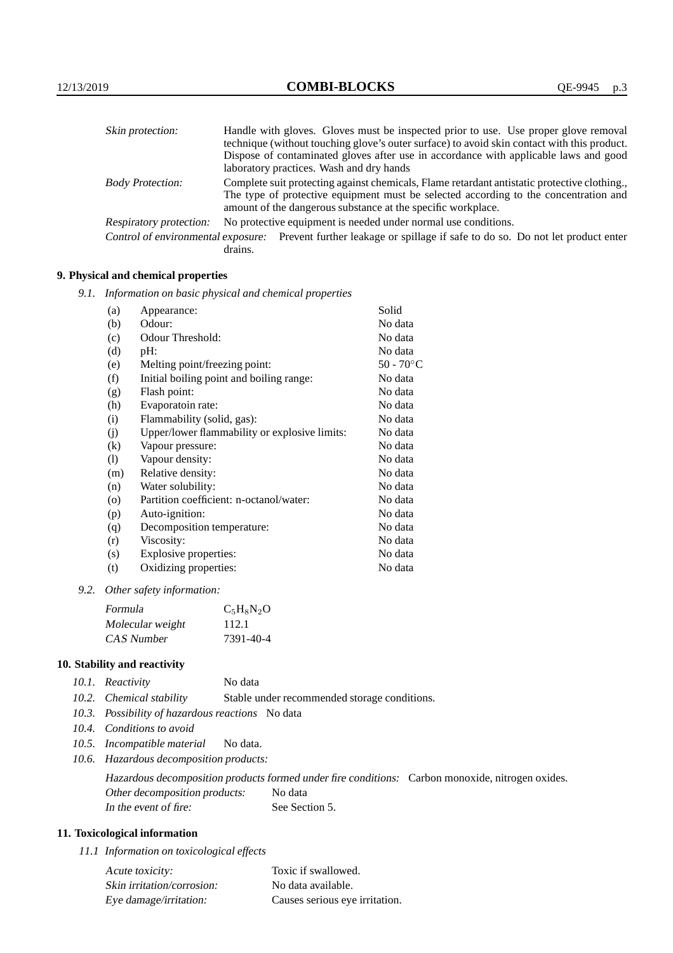| Skin protection:        | Handle with gloves. Gloves must be inspected prior to use. Use proper glove removal                                                                  |
|-------------------------|------------------------------------------------------------------------------------------------------------------------------------------------------|
|                         | technique (without touching glove's outer surface) to avoid skin contact with this product.                                                          |
|                         | Dispose of contaminated gloves after use in accordance with applicable laws and good                                                                 |
|                         | laboratory practices. Wash and dry hands                                                                                                             |
| <b>Body Protection:</b> | Complete suit protecting against chemicals, Flame retardant antistatic protective clothing.                                                          |
|                         | The type of protective equipment must be selected according to the concentration and<br>amount of the dangerous substance at the specific workplace. |
| Respiratory protection: | No protective equipment is needed under normal use conditions.                                                                                       |
|                         | Control of environmental exposure: Prevent further leakage or spillage if safe to do so. Do not let product enter<br>drains.                         |

## **9. Physical and chemical properties**

*9.1. Information on basic physical and chemical properties*

| (a)                        | Appearance:                                   | Solid        |
|----------------------------|-----------------------------------------------|--------------|
| (b)                        | Odour:                                        | No data      |
| (c)                        | Odour Threshold:                              | No data      |
| (d)                        | pH:                                           | No data      |
| (e)                        | Melting point/freezing point:                 | $50 - 70$ °C |
| (f)                        | Initial boiling point and boiling range:      | No data      |
| (g)                        | Flash point:                                  | No data      |
| (h)                        | Evaporatoin rate:                             | No data      |
| (i)                        | Flammability (solid, gas):                    | No data      |
| (j)                        | Upper/lower flammability or explosive limits: | No data      |
| $\rm(k)$                   | Vapour pressure:                              | No data      |
| $\left( \mathrm{l}\right)$ | Vapour density:                               | No data      |
| (m)                        | Relative density:                             | No data      |
| (n)                        | Water solubility:                             | No data      |
| $\circ$                    | Partition coefficient: n-octanol/water:       | No data      |
| (p)                        | Auto-ignition:                                | No data      |
| (q)                        | Decomposition temperature:                    | No data      |
| (r)                        | Viscosity:                                    | No data      |
| (s)                        | Explosive properties:                         | No data      |
| (t)                        | Oxidizing properties:                         | No data      |
|                            |                                               |              |

*9.2. Other safety information:*

| Formula          | $C_5H_8N_2O$ |
|------------------|--------------|
| Molecular weight | 112.1        |
| CAS Number       | 7391-40-4    |

# **10. Stability and reactivity**

| 10.1. Reactivity |  |  | No data |
|------------------|--|--|---------|
|------------------|--|--|---------|

- *10.2. Chemical stability* Stable under recommended storage conditions.
- *10.3. Possibility of hazardous reactions* No data
- *10.4. Conditions to avoid*
- *10.5. Incompatible material* No data.
- *10.6. Hazardous decomposition products:*

Hazardous decomposition products formed under fire conditions: Carbon monoxide, nitrogen oxides. Other decomposition products: No data In the event of fire: See Section 5.

## **11. Toxicological information**

*11.1 Information on toxicological effects*

| Acute toxicity:            | Toxic if swallowed.            |
|----------------------------|--------------------------------|
| Skin irritation/corrosion: | No data available.             |
| Eye damage/irritation:     | Causes serious eye irritation. |